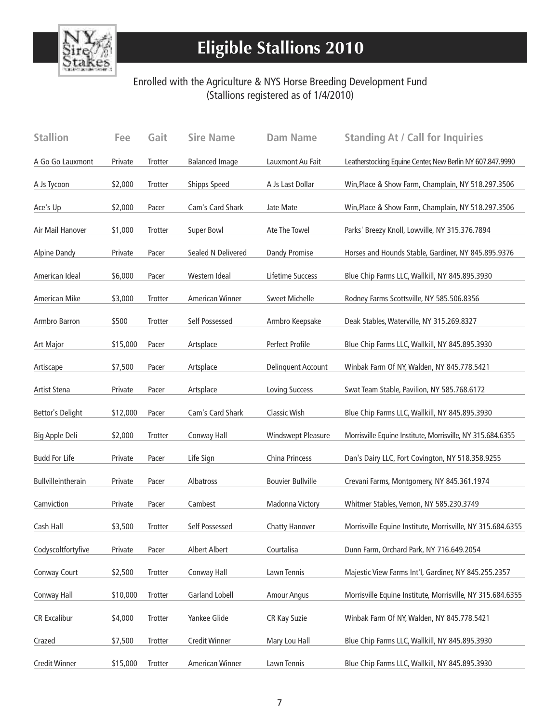

# **Eligible Stallions 2010**

#### Enrolled with the Agriculture & NYS Horse Breeding Development Fund (Stallions registered as of 1/4/2010)

| <b>Stallion</b>      | Fee      | Gait    | <b>Sire Name</b>      | <b>Dam Name</b>           | <b>Standing At / Call for Inquiries</b>                    |
|----------------------|----------|---------|-----------------------|---------------------------|------------------------------------------------------------|
| A Go Go Lauxmont     | Private  | Trotter | <b>Balanced Image</b> | Lauxmont Au Fait          | Leatherstocking Equine Center, New Berlin NY 607.847.9990  |
| A Js Tycoon          | \$2,000  | Trotter | Shipps Speed          | A Js Last Dollar          | Win, Place & Show Farm, Champlain, NY 518.297.3506         |
| Ace's Up             | \$2,000  | Pacer   | Cam's Card Shark      | Jate Mate                 | Win, Place & Show Farm, Champlain, NY 518.297.3506         |
| Air Mail Hanover     | \$1,000  | Trotter | Super Bowl            | Ate The Towel             | Parks' Breezy Knoll, Lowville, NY 315.376.7894             |
| <b>Alpine Dandy</b>  | Private  | Pacer   | Sealed N Delivered    | <b>Dandy Promise</b>      | Horses and Hounds Stable, Gardiner, NY 845.895.9376        |
| American Ideal       | \$6,000  | Pacer   | Western Ideal         | Lifetime Success          | Blue Chip Farms LLC, Wallkill, NY 845.895.3930             |
| American Mike        | \$3,000  | Trotter | American Winner       | <b>Sweet Michelle</b>     | Rodney Farms Scottsville, NY 585.506.8356                  |
| Armbro Barron        | \$500    | Trotter | Self Possessed        | Armbro Keepsake           | Deak Stables, Waterville, NY 315.269.8327                  |
| Art Major            | \$15,000 | Pacer   | Artsplace             | Perfect Profile           | Blue Chip Farms LLC, Wallkill, NY 845.895.3930             |
| Artiscape            | \$7,500  | Pacer   | Artsplace             | <b>Delinquent Account</b> | Winbak Farm Of NY, Walden, NY 845.778.5421                 |
| Artist Stena         | Private  | Pacer   | Artsplace             | <b>Loving Success</b>     | Swat Team Stable, Pavilion, NY 585.768.6172                |
| Bettor's Delight     | \$12,000 | Pacer   | Cam's Card Shark      | <b>Classic Wish</b>       | Blue Chip Farms LLC, Wallkill, NY 845.895.3930             |
| Big Apple Deli       | \$2,000  | Trotter | Conway Hall           | <b>Windswept Pleasure</b> | Morrisville Equine Institute, Morrisville, NY 315.684.6355 |
| <b>Budd For Life</b> | Private  | Pacer   | Life Sign             | China Princess            | Dan's Dairy LLC, Fort Covington, NY 518.358.9255           |
| Bullvilleintherain   | Private  | Pacer   | Albatross             | <b>Bouvier Bullville</b>  | Crevani Farms, Montgomery, NY 845.361.1974                 |
| Camviction           | Private  | Pacer   | Cambest               | Madonna Victory           | Whitmer Stables, Vernon, NY 585.230.3749                   |
| Cash Hall            | \$3,500  | Trotter | Self Possessed        | <b>Chatty Hanover</b>     | Morrisville Equine Institute, Morrisville, NY 315.684.6355 |
| Codyscoltfortyfive   | Private  | Pacer   | Albert Albert         | Courtalisa                | Dunn Farm, Orchard Park, NY 716.649.2054                   |
| Conway Court         | \$2,500  | Trotter | Conway Hall           | Lawn Tennis               | Majestic View Farms Int'l, Gardiner, NY 845.255.2357       |
| Conway Hall          | \$10,000 | Trotter | <b>Garland Lobell</b> | <b>Amour Angus</b>        | Morrisville Equine Institute, Morrisville, NY 315.684.6355 |
| <b>CR Excalibur</b>  | \$4,000  | Trotter | Yankee Glide          | CR Kay Suzie              | Winbak Farm Of NY, Walden, NY 845.778.5421                 |
| Crazed               | \$7,500  | Trotter | Credit Winner         | Mary Lou Hall             | Blue Chip Farms LLC, Wallkill, NY 845.895.3930             |
| <b>Credit Winner</b> | \$15,000 | Trotter | American Winner       | Lawn Tennis               | Blue Chip Farms LLC, Wallkill, NY 845.895.3930             |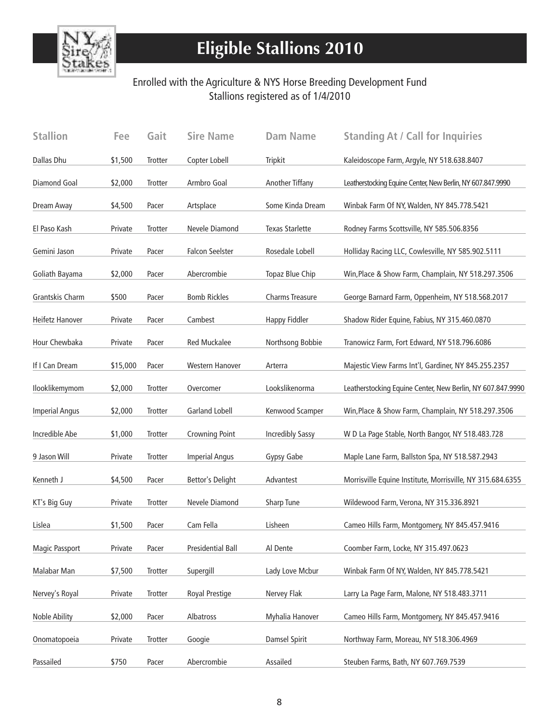

# **Eligible Stallions 2010**

### Enrolled with the Agriculture & NYS Horse Breeding Development Fund Stallions registered as of 1/4/2010

| <b>Stallion</b>       | Fee      | Gait    | <b>Sire Name</b>         | <b>Dam Name</b>         | <b>Standing At / Call for Inquiries</b>                    |
|-----------------------|----------|---------|--------------------------|-------------------------|------------------------------------------------------------|
| Dallas Dhu            | \$1,500  | Trotter | Copter Lobell            | <b>Tripkit</b>          | Kaleidoscope Farm, Argyle, NY 518.638.8407                 |
| <b>Diamond Goal</b>   | \$2,000  | Trotter | Armbro Goal              | Another Tiffany         | Leatherstocking Equine Center, New Berlin, NY 607.847.9990 |
| Dream Away            | \$4,500  | Pacer   | Artsplace                | Some Kinda Dream        | Winbak Farm Of NY, Walden, NY 845.778.5421                 |
| El Paso Kash          | Private  | Trotter | Nevele Diamond           | <b>Texas Starlette</b>  | Rodney Farms Scottsville, NY 585.506.8356                  |
| Gemini Jason          | Private  | Pacer   | <b>Falcon Seelster</b>   | Rosedale Lobell         | Holliday Racing LLC, Cowlesville, NY 585.902.5111          |
| Goliath Bayama        | \$2,000  | Pacer   | Abercrombie              | Topaz Blue Chip         | Win, Place & Show Farm, Champlain, NY 518.297.3506         |
| Grantskis Charm       | \$500    | Pacer   | <b>Bomb Rickles</b>      | Charms Treasure         | George Barnard Farm, Oppenheim, NY 518.568.2017            |
| Heifetz Hanover       | Private  | Pacer   | Cambest                  | <b>Happy Fiddler</b>    | Shadow Rider Equine, Fabius, NY 315.460.0870               |
| Hour Chewbaka         | Private  | Pacer   | <b>Red Muckalee</b>      | Northsong Bobbie        | Tranowicz Farm, Fort Edward, NY 518.796.6086               |
| If I Can Dream        | \$15,000 | Pacer   | Western Hanover          | Arterra                 | Majestic View Farms Int'l, Gardiner, NY 845.255.2357       |
| Ilooklikemymom        | \$2,000  | Trotter | Overcomer                | Lookslikenorma          | Leatherstocking Equine Center, New Berlin, NY 607.847.9990 |
| <b>Imperial Angus</b> | \$2,000  | Trotter | <b>Garland Lobell</b>    | Kenwood Scamper         | Win, Place & Show Farm, Champlain, NY 518.297.3506         |
| Incredible Abe        | \$1,000  | Trotter | <b>Crowning Point</b>    | <b>Incredibly Sassy</b> | W D La Page Stable, North Bangor, NY 518.483.728           |
| 9 Jason Will          | Private  | Trotter | <b>Imperial Angus</b>    | Gypsy Gabe              | Maple Lane Farm, Ballston Spa, NY 518.587.2943             |
| Kenneth J             | \$4,500  | Pacer   | Bettor's Delight         | Advantest               | Morrisville Equine Institute, Morrisville, NY 315.684.6355 |
| KT's Big Guy          | Private  | Trotter | Nevele Diamond           | <b>Sharp Tune</b>       | Wildewood Farm, Verona, NY 315.336.8921                    |
| Lislea                | \$1,500  | Pacer   | Cam Fella                | Lisheen                 | Cameo Hills Farm, Montgomery, NY 845.457.9416              |
| Magic Passport        | Private  | Pacer   | <b>Presidential Ball</b> | Al Dente                | Coomber Farm, Locke, NY 315.497.0623                       |
| Malabar Man           | \$7,500  | Trotter | Supergill                | Lady Love Mcbur         | Winbak Farm Of NY, Walden, NY 845.778.5421                 |
| Nervey's Royal        | Private  | Trotter | Royal Prestige           | Nervey Flak             | Larry La Page Farm, Malone, NY 518.483.3711                |
| Noble Ability         | \$2,000  | Pacer   | Albatross                | Myhalia Hanover         | Cameo Hills Farm, Montgomery, NY 845.457.9416              |
| Onomatopoeia          | Private  | Trotter | Googie                   | Damsel Spirit           | Northway Farm, Moreau, NY 518.306.4969                     |
| Passailed             | \$750    | Pacer   | Abercrombie              | Assailed                | Steuben Farms, Bath, NY 607.769.7539                       |
|                       |          |         |                          |                         |                                                            |